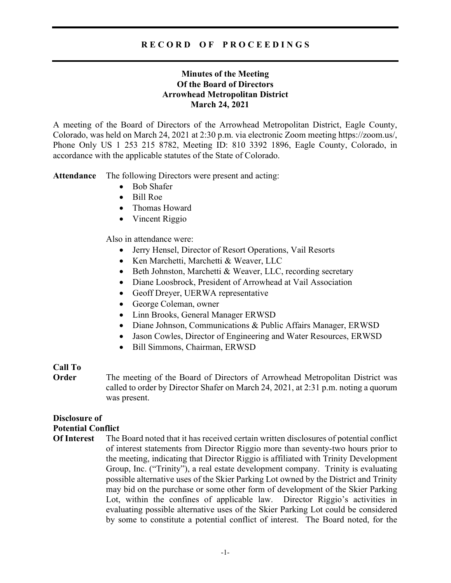# R E C O R D O F P R O C E E D I N G S

# Minutes of the Meeting Of the Board of Directors Arrowhead Metropolitan District March 24, 2021

A meeting of the Board of Directors of the Arrowhead Metropolitan District, Eagle County, Colorado, was held on March 24, 2021 at 2:30 p.m. via electronic Zoom meeting https://zoom.us/, Phone Only US 1 253 215 8782, Meeting ID: 810 3392 1896, Eagle County, Colorado, in accordance with the applicable statutes of the State of Colorado.

Attendance The following Directors were present and acting:

- Bob Shafer
- Bill Roe
- Thomas Howard
- Vincent Riggio

Also in attendance were:

- Jerry Hensel, Director of Resort Operations, Vail Resorts
- Ken Marchetti, Marchetti & Weaver, LLC
- Beth Johnston, Marchetti & Weaver, LLC, recording secretary
- Diane Loosbrock, President of Arrowhead at Vail Association
- Geoff Dreyer, UERWA representative
- George Coleman, owner
- Linn Brooks, General Manager ERWSD
- Diane Johnson, Communications & Public Affairs Manager, ERWSD
- Jason Cowles, Director of Engineering and Water Resources, ERWSD
- Bill Simmons, Chairman, ERWSD

## Call To

**Order** The meeting of the Board of Directors of Arrowhead Metropolitan District was called to order by Director Shafer on March 24, 2021, at 2:31 p.m. noting a quorum was present.

# Disclosure of Potential Conflict

Of Interest The Board noted that it has received certain written disclosures of potential conflict of interest statements from Director Riggio more than seventy-two hours prior to the meeting, indicating that Director Riggio is affiliated with Trinity Development Group, Inc. ("Trinity"), a real estate development company. Trinity is evaluating possible alternative uses of the Skier Parking Lot owned by the District and Trinity may bid on the purchase or some other form of development of the Skier Parking Lot, within the confines of applicable law. Director Riggio's activities in evaluating possible alternative uses of the Skier Parking Lot could be considered by some to constitute a potential conflict of interest. The Board noted, for the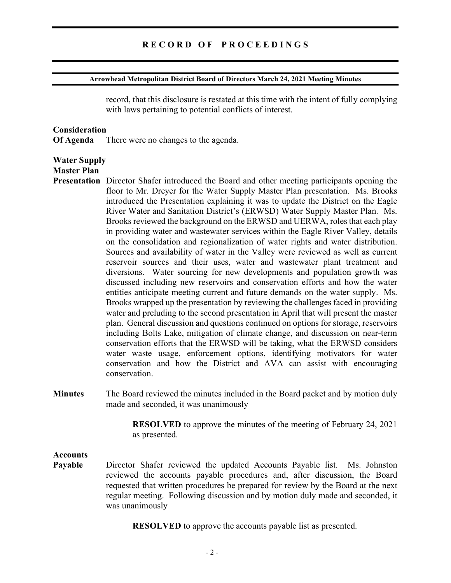#### Arrowhead Metropolitan District Board of Directors March 24, 2021 Meeting Minutes

record, that this disclosure is restated at this time with the intent of fully complying with laws pertaining to potential conflicts of interest.

#### **Consideration**

Of Agenda There were no changes to the agenda.

### Water Supply

## Master Plan

- Presentation Director Shafer introduced the Board and other meeting participants opening the floor to Mr. Dreyer for the Water Supply Master Plan presentation. Ms. Brooks introduced the Presentation explaining it was to update the District on the Eagle River Water and Sanitation District's (ERWSD) Water Supply Master Plan. Ms. Brooks reviewed the background on the ERWSD and UERWA, roles that each play in providing water and wastewater services within the Eagle River Valley, details on the consolidation and regionalization of water rights and water distribution. Sources and availability of water in the Valley were reviewed as well as current reservoir sources and their uses, water and wastewater plant treatment and diversions. Water sourcing for new developments and population growth was discussed including new reservoirs and conservation efforts and how the water entities anticipate meeting current and future demands on the water supply. Ms. Brooks wrapped up the presentation by reviewing the challenges faced in providing water and preluding to the second presentation in April that will present the master plan. General discussion and questions continued on options for storage, reservoirs including Bolts Lake, mitigation of climate change, and discussion on near-term conservation efforts that the ERWSD will be taking, what the ERWSD considers water waste usage, enforcement options, identifying motivators for water conservation and how the District and AVA can assist with encouraging conservation.
- Minutes The Board reviewed the minutes included in the Board packet and by motion duly made and seconded, it was unanimously

 RESOLVED to approve the minutes of the meeting of February 24, 2021 as presented.

#### Accounts

Payable Director Shafer reviewed the updated Accounts Payable list. Ms. Johnston reviewed the accounts payable procedures and, after discussion, the Board requested that written procedures be prepared for review by the Board at the next regular meeting. Following discussion and by motion duly made and seconded, it was unanimously

RESOLVED to approve the accounts payable list as presented.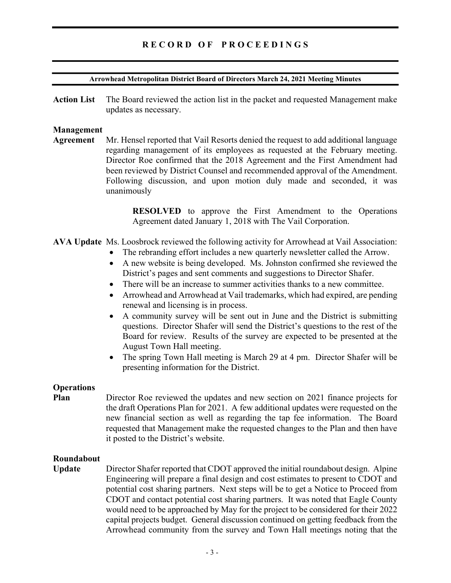# RECORD OF PROCEEDINGS

#### Arrowhead Metropolitan District Board of Directors March 24, 2021 Meeting Minutes

Action List The Board reviewed the action list in the packet and requested Management make updates as necessary.

#### Management

Agreement Mr. Hensel reported that Vail Resorts denied the request to add additional language regarding management of its employees as requested at the February meeting. Director Roe confirmed that the 2018 Agreement and the First Amendment had been reviewed by District Counsel and recommended approval of the Amendment. Following discussion, and upon motion duly made and seconded, it was unanimously

> RESOLVED to approve the First Amendment to the Operations Agreement dated January 1, 2018 with The Vail Corporation.

- AVA Update Ms. Loosbrock reviewed the following activity for Arrowhead at Vail Association:
	- The rebranding effort includes a new quarterly newsletter called the Arrow.
	- A new website is being developed. Ms. Johnston confirmed she reviewed the District's pages and sent comments and suggestions to Director Shafer.
	- There will be an increase to summer activities thanks to a new committee.
	- Arrowhead and Arrowhead at Vail trademarks, which had expired, are pending renewal and licensing is in process.
	- A community survey will be sent out in June and the District is submitting questions. Director Shafer will send the District's questions to the rest of the Board for review. Results of the survey are expected to be presented at the August Town Hall meeting.
	- The spring Town Hall meeting is March 29 at 4 pm. Director Shafer will be presenting information for the District.

#### **Operations**

Plan Director Roe reviewed the updates and new section on 2021 finance projects for the draft Operations Plan for 2021. A few additional updates were requested on the new financial section as well as regarding the tap fee information. The Board requested that Management make the requested changes to the Plan and then have it posted to the District's website.

### Roundabout

Update Director Shafer reported that CDOT approved the initial roundabout design. Alpine Engineering will prepare a final design and cost estimates to present to CDOT and potential cost sharing partners. Next steps will be to get a Notice to Proceed from CDOT and contact potential cost sharing partners. It was noted that Eagle County would need to be approached by May for the project to be considered for their 2022 capital projects budget. General discussion continued on getting feedback from the Arrowhead community from the survey and Town Hall meetings noting that the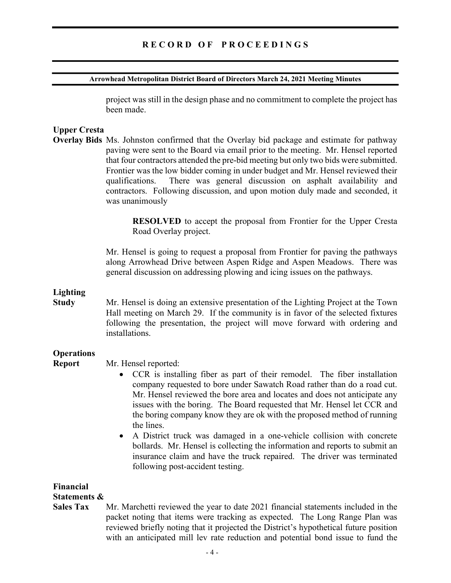#### Arrowhead Metropolitan District Board of Directors March 24, 2021 Meeting Minutes

project was still in the design phase and no commitment to complete the project has been made.

## Upper Cresta

Overlay Bids Ms. Johnston confirmed that the Overlay bid package and estimate for pathway paving were sent to the Board via email prior to the meeting. Mr. Hensel reported that four contractors attended the pre-bid meeting but only two bids were submitted. Frontier was the low bidder coming in under budget and Mr. Hensel reviewed their qualifications. There was general discussion on asphalt availability and contractors. Following discussion, and upon motion duly made and seconded, it was unanimously

> RESOLVED to accept the proposal from Frontier for the Upper Cresta Road Overlay project.

Mr. Hensel is going to request a proposal from Frontier for paving the pathways along Arrowhead Drive between Aspen Ridge and Aspen Meadows. There was general discussion on addressing plowing and icing issues on the pathways.

# Lighting

Study Mr. Hensel is doing an extensive presentation of the Lighting Project at the Town Hall meeting on March 29. If the community is in favor of the selected fixtures following the presentation, the project will move forward with ordering and installations.

## **Operations**

- Report Mr. Hensel reported:
	- CCR is installing fiber as part of their remodel. The fiber installation company requested to bore under Sawatch Road rather than do a road cut. Mr. Hensel reviewed the bore area and locates and does not anticipate any issues with the boring. The Board requested that Mr. Hensel let CCR and the boring company know they are ok with the proposed method of running the lines.
	- A District truck was damaged in a one-vehicle collision with concrete bollards. Mr. Hensel is collecting the information and reports to submit an insurance claim and have the truck repaired. The driver was terminated following post-accident testing.

Financial

# Statements &

Sales Tax Mr. Marchetti reviewed the year to date 2021 financial statements included in the packet noting that items were tracking as expected. The Long Range Plan was reviewed briefly noting that it projected the District's hypothetical future position with an anticipated mill lev rate reduction and potential bond issue to fund the